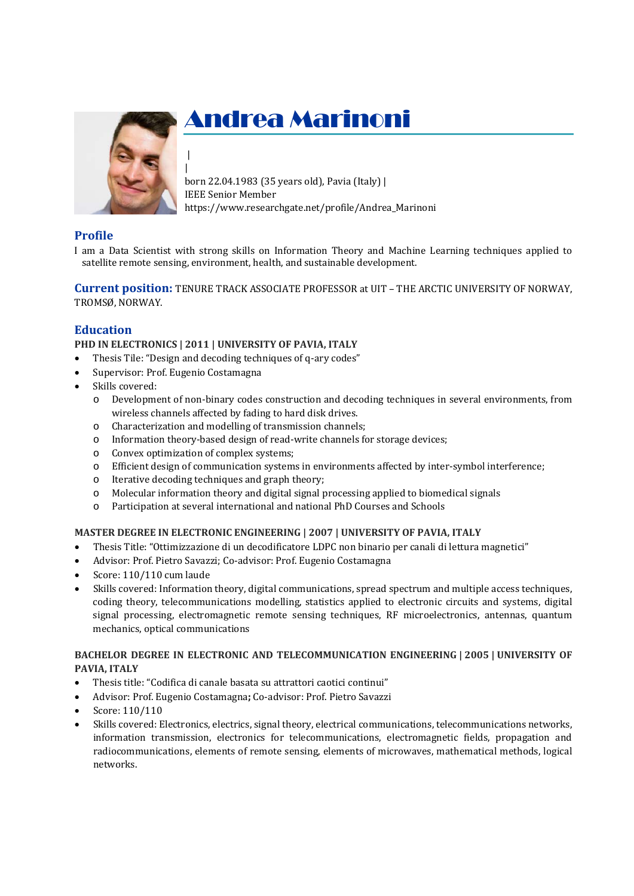

| |

# Andrea Marinoni

born 22.04.1983 (35 years old), Pavia (Italy) | IEEE Senior Member https://www.researchgate.net/profile/Andrea\_Marinoni

# **Profile**

I am a Data Scientist with strong skills on Information Theory and Machine Learning techniques applied to satellite remote sensing, environment, health, and sustainable development.

**Current position:** TENURE TRACK ASSOCIATE PROFESSOR at UIT – THE ARCTIC UNIVERSITY OF NORWAY, TROMSØ, NORWAY.

# **Education**

**PHD IN ELECTRONICS | 2011 | UNIVERSITY OF PAVIA, ITALY**

- Thesis Tile: "Design and decoding techniques of q-ary codes"
- Supervisor: Prof. Eugenio Costamagna
- Skills covered:
	- o Development of non-binary codes construction and decoding techniques in several environments, from wireless channels affected by fading to hard disk drives.
	- o Characterization and modelling of transmission channels;
	- o Information theory-based design of read-write channels for storage devices;
	- o Convex optimization of complex systems;
	- o Efficient design of communication systems in environments affected by inter-symbol interference;
	- o Iterative decoding techniques and graph theory;
	- o Molecular information theory and digital signal processing applied to biomedical signals
	- o Participation at several international and national PhD Courses and Schools

## **MASTER DEGREE IN ELECTRONIC ENGINEERING | 2007 | UNIVERSITY OF PAVIA, ITALY**

- Thesis Title: "Ottimizzazione di un decodificatore LDPC non binario per canali di lettura magnetici"
- Advisor: Prof. Pietro Savazzi; Co-advisor: Prof. Eugenio Costamagna
- Score: 110/110 cum laude
- Skills covered: Information theory, digital communications, spread spectrum and multiple access techniques, coding theory, telecommunications modelling, statistics applied to electronic circuits and systems, digital signal processing, electromagnetic remote sensing techniques, RF microelectronics, antennas, quantum mechanics, optical communications

## **BACHELOR DEGREE IN ELECTRONIC AND TELECOMMUNICATION ENGINEERING | 2005 | UNIVERSITY OF PAVIA, ITALY**

- Thesis title: "Codifica di canale basata su attrattori caotici continui"
- Advisor: Prof. Eugenio Costamagna**;** Co-advisor: Prof. Pietro Savazzi
- Score: 110/110
- Skills covered: Electronics, electrics, signal theory, electrical communications, telecommunications networks, information transmission, electronics for telecommunications, electromagnetic fields, propagation and radiocommunications, elements of remote sensing, elements of microwaves, mathematical methods, logical networks.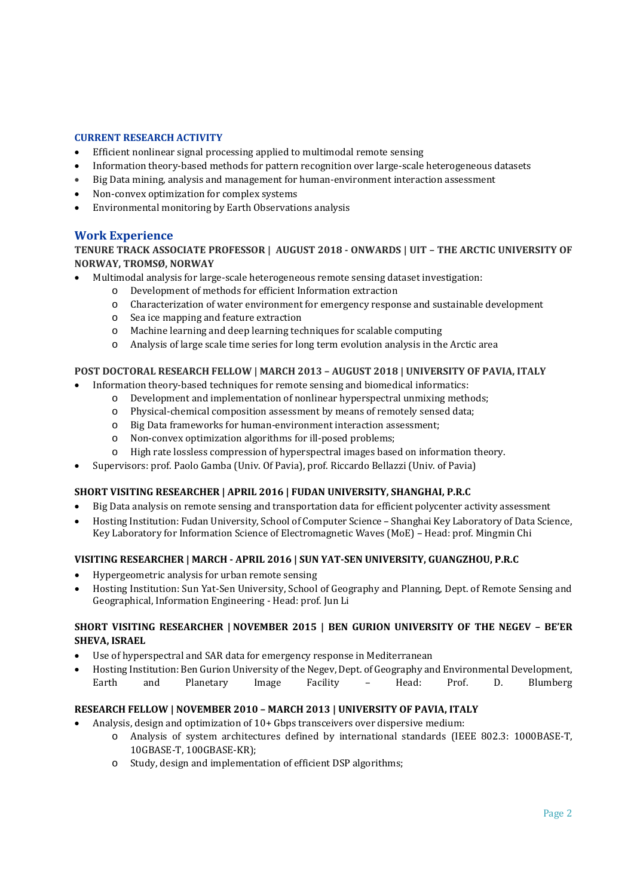## **CURRENT RESEARCH ACTIVITY**

- Efficient nonlinear signal processing applied to multimodal remote sensing
- Information theory-based methods for pattern recognition over large-scale heterogeneous datasets
- Big Data mining, analysis and management for human-environment interaction assessment
- Non-convex optimization for complex systems
- Environmental monitoring by Earth Observations analysis

## **Work Experience**

**TENURE TRACK ASSOCIATE PROFESSOR | AUGUST 2018 ‐ ONWARDS | UIT – THE ARCTIC UNIVERSITY OF NORWAY, TROMSØ, NORWAY**

Multimodal analysis for large-scale heterogeneous remote sensing dataset investigation:

- o Development of methods for efficient Information extraction
	- o Characterization of water environment for emergency response and sustainable development
	- o Sea ice mapping and feature extraction
	- o Machine learning and deep learning techniques for scalable computing
- o Analysis of large scale time series for long term evolution analysis in the Arctic area

#### **POST DOCTORAL RESEARCH FELLOW | MARCH 2013 – AUGUST 2018 | UNIVERSITY OF PAVIA, ITALY**

- Information theory-based techniques for remote sensing and biomedical informatics:
	- o Development and implementation of nonlinear hyperspectral unmixing methods;
	- o Physical-chemical composition assessment by means of remotely sensed data;
	- o Big Data frameworks for human-environment interaction assessment;
	- o Non-convex optimization algorithms for ill-posed problems;
	- o High rate lossless compression of hyperspectral images based on information theory.
- Supervisors: prof. Paolo Gamba (Univ. Of Pavia), prof. Riccardo Bellazzi (Univ. of Pavia)

## **SHORT VISITING RESEARCHER | APRIL 2016 | FUDAN UNIVERSITY, SHANGHAI, P.R.C**

- Big Data analysis on remote sensing and transportation data for efficient polycenter activity assessment
- Hosting Institution: Fudan University, School of Computer Science Shanghai Key Laboratory of Data Science, Key Laboratory for Information Science of Electromagnetic Waves (MoE) – Head: prof. Mingmin Chi

## **VISITING RESEARCHER | MARCH ‐ APRIL 2016 | SUN YAT‐SEN UNIVERSITY, GUANGZHOU, P.R.C**

- Hypergeometric analysis for urban remote sensing
- Hosting Institution: Sun Yat-Sen University, School of Geography and Planning, Dept. of Remote Sensing and Geographical, Information Engineering - Head: prof. Jun Li

## **SHORT VISITING RESEARCHER | NOVEMBER 2015 | BEN GURION UNIVERSITY OF THE NEGEV – BE'ER SHEVA, ISRAEL**

- Use of hyperspectral and SAR data for emergency response in Mediterranean
- Hosting Institution: Ben Gurion University of the Negev, Dept. of Geography and Environmental Development, Earth and Planetary Image Facility – Head: Prof. D. Blumberg

## **RESEARCH FELLOW | NOVEMBER 2010 – MARCH 2013 | UNIVERSITY OF PAVIA, ITALY**

- Analysis, design and optimization of 10+ Gbps transceivers over dispersive medium:
	- o Analysis of system architectures defined by international standards (IEEE 802.3: 1000BASE-T, 10GBASE-T, 100GBASE-KR);
	- o Study, design and implementation of efficient DSP algorithms;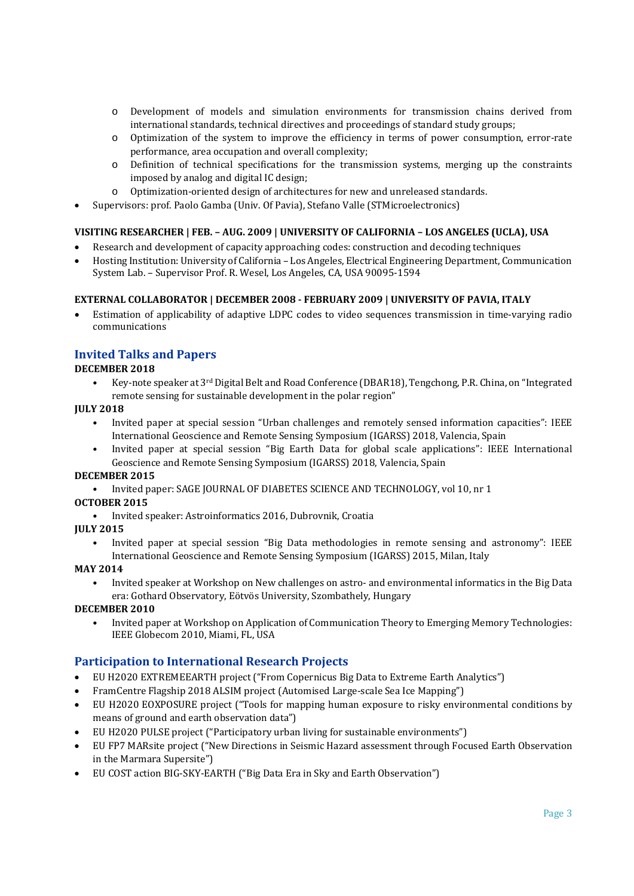- o Development of models and simulation environments for transmission chains derived from international standards, technical directives and proceedings of standard study groups;
- o Optimization of the system to improve the efficiency in terms of power consumption, error-rate performance, area occupation and overall complexity;
- o Definition of technical specifications for the transmission systems, merging up the constraints imposed by analog and digital IC design;
- o Optimization-oriented design of architectures for new and unreleased standards.
- Supervisors: prof. Paolo Gamba (Univ. Of Pavia), Stefano Valle (STMicroelectronics)

## **VISITING RESEARCHER | FEB. – AUG. 2009 | UNIVERSITY OF CALIFORNIA – LOS ANGELES (UCLA), USA**

- Research and development of capacity approaching codes: construction and decoding techniques
- Hosting Institution: University of California Los Angeles, Electrical Engineering Department, Communication System Lab. – Supervisor Prof. R. Wesel, Los Angeles, CA, USA 90095-1594

## **EXTERNAL COLLABORATOR | DECEMBER 2008 ‐ FEBRUARY 2009 | UNIVERSITY OF PAVIA, ITALY**

 Estimation of applicability of adaptive LDPC codes to video sequences transmission in time-varying radio communications

## **Invited Talks and Papers**

## **DECEMBER 2018**

• Key-note speaker at 3rd Digital Belt and Road Conference (DBAR18), Tengchong, P.R. China, on "Integrated remote sensing for sustainable development in the polar region"

## **JULY 2018**

- Invited paper at special session "Urban challenges and remotely sensed information capacities": IEEE International Geoscience and Remote Sensing Symposium (IGARSS) 2018, Valencia, Spain
- Invited paper at special session "Big Earth Data for global scale applications": IEEE International Geoscience and Remote Sensing Symposium (IGARSS) 2018, Valencia, Spain

## **DECEMBER 2015**

• Invited paper: SAGE JOURNAL OF DIABETES SCIENCE AND TECHNOLOGY, vol 10, nr 1

## **OCTOBER 2015**

• Invited speaker: Astroinformatics 2016, Dubrovnik, Croatia

## **JULY 2015**

• Invited paper at special session "Big Data methodologies in remote sensing and astronomy": IEEE International Geoscience and Remote Sensing Symposium (IGARSS) 2015, Milan, Italy

## **MAY 2014**

• Invited speaker at Workshop on New challenges on astro- and environmental informatics in the Big Data era: Gothard Observatory, Eötvös University, Szombathely, Hungary

## **DECEMBER 2010**

• Invited paper at Workshop on Application of Communication Theory to Emerging Memory Technologies: IEEE Globecom 2010, Miami, FL, USA

# **Participation to International Research Projects**

- EU H2020 EXTREMEEARTH project ("From Copernicus Big Data to Extreme Earth Analytics")
- FramCentre Flagship 2018 ALSIM project (Automised Large-scale Sea Ice Mapping")
- EU H2020 EOXPOSURE project ("Tools for mapping human exposure to risky environmental conditions by means of ground and earth observation data")
- EU H2020 PULSE project ("Participatory urban living for sustainable environments")
- EU FP7 MARsite project ("New Directions in Seismic Hazard assessment through Focused Earth Observation in the Marmara Supersite")
- EU COST action BIG-SKY-EARTH ("Big Data Era in Sky and Earth Observation")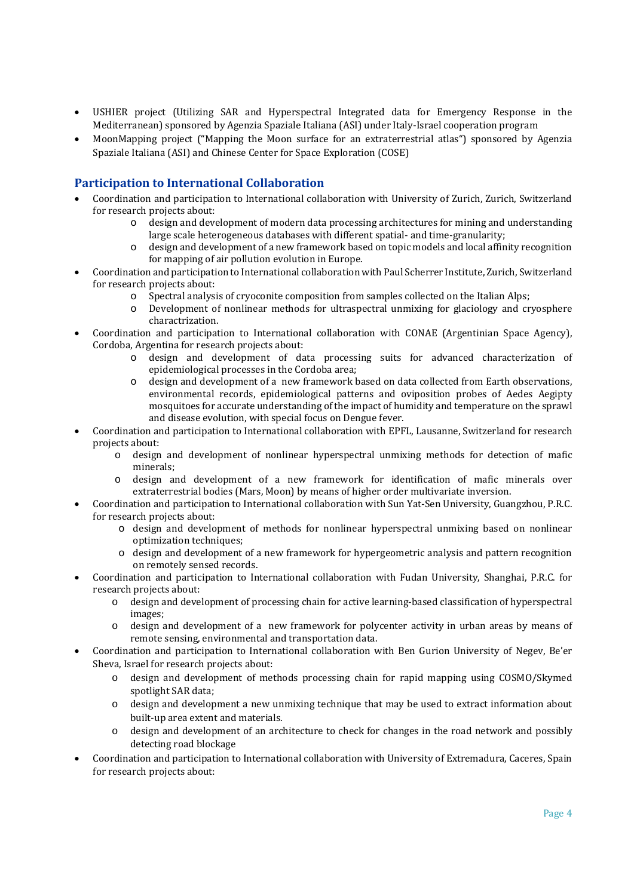- USHIER project (Utilizing SAR and Hyperspectral Integrated data for Emergency Response in the Mediterranean) sponsored by Agenzia Spaziale Italiana (ASI) under Italy-Israel cooperation program
- MoonMapping project ("Mapping the Moon surface for an extraterrestrial atlas") sponsored by Agenzia Spaziale Italiana (ASI) and Chinese Center for Space Exploration (COSE)

# **Participation to International Collaboration**

- Coordination and participation to International collaboration with University of Zurich, Zurich, Switzerland for research projects about:
	- o design and development of modern data processing architectures for mining and understanding large scale heterogeneous databases with different spatial- and time-granularity;
	- o design and development of a new framework based on topic models and local affinity recognition for mapping of air pollution evolution in Europe.
- Coordination and participation to International collaboration with Paul Scherrer Institute, Zurich, Switzerland for research projects about:
	- o Spectral analysis of cryoconite composition from samples collected on the Italian Alps;
	- o Development of nonlinear methods for ultraspectral unmixing for glaciology and cryosphere charactrization.
- Coordination and participation to International collaboration with CONAE (Argentinian Space Agency), Cordoba, Argentina for research projects about:
	- o design and development of data processing suits for advanced characterization of epidemiological processes in the Cordoba area;
	- o design and development of a new framework based on data collected from Earth observations, environmental records, epidemiological patterns and oviposition probes of Aedes Aegipty mosquitoes for accurate understanding of the impact of humidity and temperature on the sprawl and disease evolution, with special focus on Dengue fever.
- Coordination and participation to International collaboration with EPFL, Lausanne, Switzerland for research projects about:
	- o design and development of nonlinear hyperspectral unmixing methods for detection of mafic minerals;
	- o design and development of a new framework for identification of mafic minerals over extraterrestrial bodies (Mars, Moon) by means of higher order multivariate inversion.
- Coordination and participation to International collaboration with Sun Yat-Sen University, Guangzhou, P.R.C. for research projects about:
	- o design and development of methods for nonlinear hyperspectral unmixing based on nonlinear optimization techniques;
	- o design and development of a new framework for hypergeometric analysis and pattern recognition on remotely sensed records.
- Coordination and participation to International collaboration with Fudan University, Shanghai, P.R.C. for research projects about:
	- o design and development of processing chain for active learning-based classification of hyperspectral images;
	- o design and development of a new framework for polycenter activity in urban areas by means of remote sensing, environmental and transportation data.
- Coordination and participation to International collaboration with Ben Gurion University of Negev, Be'er Sheva, Israel for research projects about:
	- o design and development of methods processing chain for rapid mapping using COSMO/Skymed spotlight SAR data;
	- o design and development a new unmixing technique that may be used to extract information about built-up area extent and materials.
	- o design and development of an architecture to check for changes in the road network and possibly detecting road blockage
- Coordination and participation to International collaboration with University of Extremadura, Caceres, Spain for research projects about: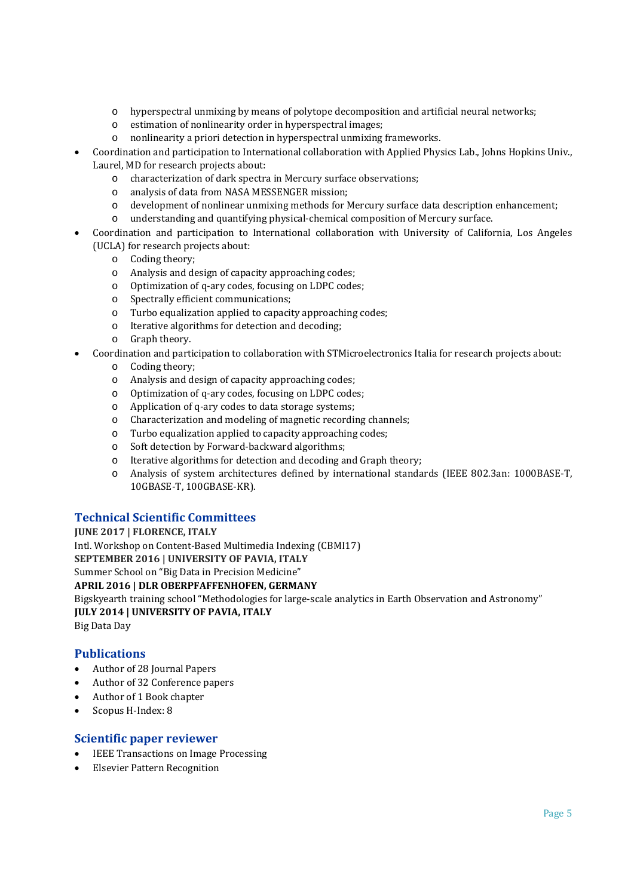- o hyperspectral unmixing by means of polytope decomposition and artificial neural networks;
- o estimation of nonlinearity order in hyperspectral images;
- o nonlinearity a priori detection in hyperspectral unmixing frameworks.
- Coordination and participation to International collaboration with Applied Physics Lab., Johns Hopkins Univ., Laurel, MD for research projects about:
	- o characterization of dark spectra in Mercury surface observations;
	- o analysis of data from NASA MESSENGER mission;
	- o development of nonlinear unmixing methods for Mercury surface data description enhancement;
	- o understanding and quantifying physical-chemical composition of Mercury surface.
- Coordination and participation to International collaboration with University of California, Los Angeles (UCLA) for research projects about:
	- o Coding theory;
	- o Analysis and design of capacity approaching codes;
	- o Optimization of q-ary codes, focusing on LDPC codes;
	- o Spectrally efficient communications;
	- o Turbo equalization applied to capacity approaching codes;
	- o Iterative algorithms for detection and decoding;
	- o Graph theory.
- Coordination and participation to collaboration with STMicroelectronics Italia for research projects about:
	- o Coding theory;
	- o Analysis and design of capacity approaching codes;
	- o Optimization of q-ary codes, focusing on LDPC codes;
	- o Application of q-ary codes to data storage systems;
	- o Characterization and modeling of magnetic recording channels;
	- o Turbo equalization applied to capacity approaching codes;
	- o Soft detection by Forward-backward algorithms;
	- o Iterative algorithms for detection and decoding and Graph theory;
	- o Analysis of system architectures defined by international standards (IEEE 802.3an: 1000BASE-T, 10GBASE-T, 100GBASE-KR).

# **Technical Scientific Committees**

**JUNE 2017 | FLORENCE, ITALY** Intl. Workshop on Content-Based Multimedia Indexing (CBMI17) **SEPTEMBER 2016 | UNIVERSITY OF PAVIA, ITALY** Summer School on "Big Data in Precision Medicine" **APRIL 2016 | DLR OBERPFAFFENHOFEN, GERMANY** Bigskyearth training school "Methodologies for large-scale analytics in Earth Observation and Astronomy" **JULY 2014 | UNIVERSITY OF PAVIA, ITALY** Big Data Day

# **Publications**

- Author of 28 Journal Papers
- Author of 32 Conference papers
- Author of 1 Book chapter
- Scopus H-Index: 8

# **Scientific paper reviewer**

- IEEE Transactions on Image Processing
- Elsevier Pattern Recognition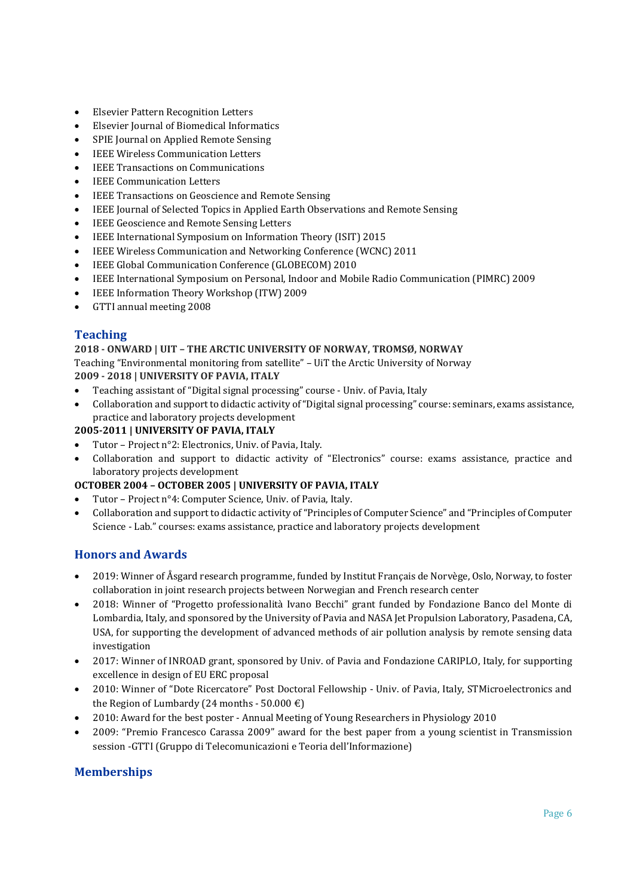- Elsevier Pattern Recognition Letters
- Elsevier Journal of Biomedical Informatics
- SPIE Journal on Applied Remote Sensing
- IEEE Wireless Communication Letters
- IEEE Transactions on Communications
- IEEE Communication Letters
- IEEE Transactions on Geoscience and Remote Sensing
- IEEE Journal of Selected Topics in Applied Earth Observations and Remote Sensing
- IEEE Geoscience and Remote Sensing Letters
- IEEE International Symposium on Information Theory (ISIT) 2015
- IEEE Wireless Communication and Networking Conference (WCNC) 2011
- IEEE Global Communication Conference (GLOBECOM) 2010
- IEEE International Symposium on Personal, Indoor and Mobile Radio Communication (PIMRC) 2009
- IEEE Information Theory Workshop (ITW) 2009
- GTTI annual meeting 2008

# **Teaching**

## **2018 ‐ ONWARD | UIT – THE ARCTIC UNIVERSITY OF NORWAY, TROMSØ, NORWAY**

Teaching "Environmental monitoring from satellite" – UiT the Arctic University of Norway **2009 ‐ 2018 | UNIVERSITY OF PAVIA, ITALY**

- Teaching assistant of "Digital signal processing" course Univ. of Pavia, Italy
- Collaboration and support to didactic activity of "Digital signal processing" course: seminars, exams assistance, practice and laboratory projects development

## **2005‐2011 | UNIVERSITY OF PAVIA, ITALY**

- Tutor Project n°2: Electronics, Univ. of Pavia, Italy.
- Collaboration and support to didactic activity of "Electronics" course: exams assistance, practice and laboratory projects development

## **OCTOBER 2004 – OCTOBER 2005 | UNIVERSITY OF PAVIA, ITALY**

- Tutor Project n°4: Computer Science, Univ. of Pavia, Italy.
- Collaboration and support to didactic activity of "Principles of Computer Science" and "Principles of Computer Science - Lab." courses: exams assistance, practice and laboratory projects development

# **Honors and Awards**

- 2019: Winner of Åsgard research programme, funded by Institut Français de Norvège, Oslo, Norway, to foster collaboration in joint research projects between Norwegian and French research center
- 2018: Winner of "Progetto professionalità Ivano Becchi" grant funded by Fondazione Banco del Monte di Lombardia, Italy, and sponsored by the University of Pavia and NASA Jet Propulsion Laboratory, Pasadena, CA, USA, for supporting the development of advanced methods of air pollution analysis by remote sensing data investigation
- 2017: Winner of INROAD grant, sponsored by Univ. of Pavia and Fondazione CARIPLO, Italy, for supporting excellence in design of EU ERC proposal
- 2010: Winner of "Dote Ricercatore" Post Doctoral Fellowship Univ. of Pavia, Italy, STMicroelectronics and the Region of Lumbardy (24 months - 50.000 €)
- 2010: Award for the best poster Annual Meeting of Young Researchers in Physiology 2010
- 2009: "Premio Francesco Carassa 2009" award for the best paper from a young scientist in Transmission session -GTTI (Gruppo di Telecomunicazioni e Teoria dell'Informazione)

# **Memberships**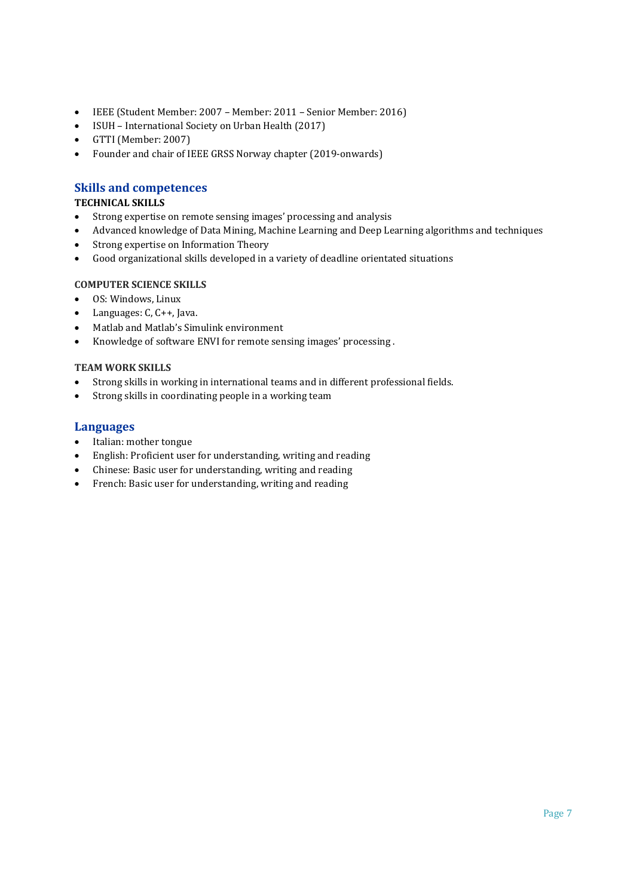- IEEE (Student Member: 2007 Member: 2011 Senior Member: 2016)
- ISUH International Society on Urban Health (2017)
- GTTI (Member: 2007)
- Founder and chair of IEEE GRSS Norway chapter (2019-onwards)

# **Skills and competences**

## **TECHNICAL SKILLS**

- Strong expertise on remote sensing images' processing and analysis
- Advanced knowledge of Data Mining, Machine Learning and Deep Learning algorithms and techniques
- Strong expertise on Information Theory
- Good organizational skills developed in a variety of deadline orientated situations

# **COMPUTER SCIENCE SKILLS**

- OS: Windows, Linux
- Languages: C, C++, Java.
- Matlab and Matlab's Simulink environment
- Knowledge of software ENVI for remote sensing images' processing .

## **TEAM WORK SKILLS**

- Strong skills in working in international teams and in different professional fields.
- Strong skills in coordinating people in a working team

## **Languages**

- Italian: mother tongue
- English: Proficient user for understanding, writing and reading
- Chinese: Basic user for understanding, writing and reading
- French: Basic user for understanding, writing and reading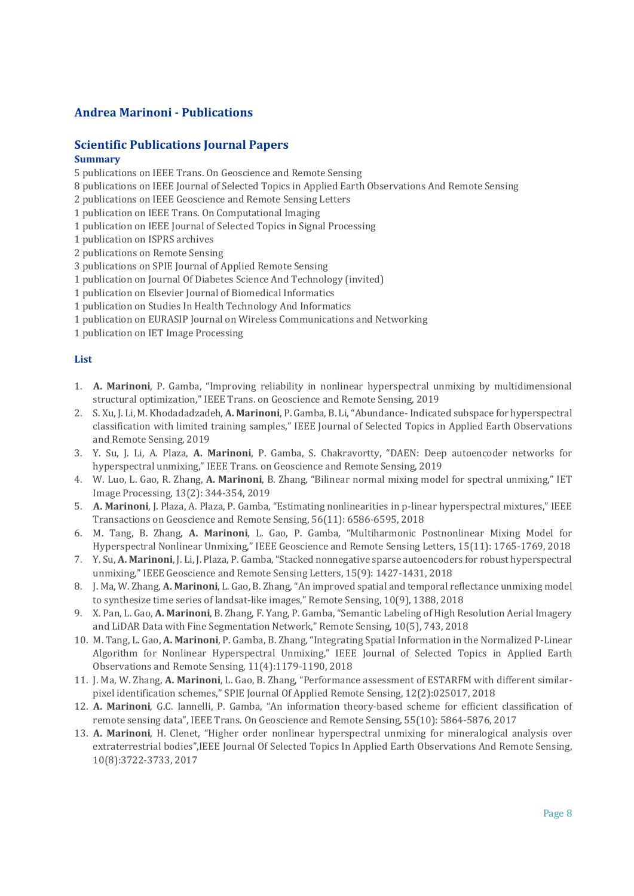# **Andrea Marinoni - Publications**

## **Scientific Publications Journal Papers Summary**

5 publications on IEEE Trans. On Geoscience and Remote Sensing

8 publications on IEEE Journal of Selected Topics in Applied Earth Observations And Remote Sensing

2 publications on IEEE Geoscience and Remote Sensing Letters

1 publication on IEEE Trans. On Computational Imaging

- 1 publication on IEEE Journal of Selected Topics in Signal Processing
- 1 publication on ISPRS archives
- 2 publications on Remote Sensing

3 publications on SPIE Journal of Applied Remote Sensing

- 1 publication on Journal Of Diabetes Science And Technology (invited)
- 1 publication on Elsevier Journal of Biomedical Informatics
- 1 publication on Studies In Health Technology And Informatics
- 1 publication on EURASIP Journal on Wireless Communications and Networking
- 1 publication on IET Image Processing

## **List**

- 1. **A. Marinoni**, P. Gamba, "Improving reliability in nonlinear hyperspectral unmixing by multidimensional structural optimization," IEEE Trans. on Geoscience and Remote Sensing, 2019
- 2. S. Xu, J. Li, M. Khodadadzadeh, **A. Marinoni**, P. Gamba, B. Li, "Abundance- Indicated subspace for hyperspectral classification with limited training samples," IEEE Journal of Selected Topics in Applied Earth Observations and Remote Sensing, 2019
- 3. Y. Su, J. Li, A. Plaza, **A. Marinoni**, P. Gamba, S. Chakravortty, "DAEN: Deep autoencoder networks for hyperspectral unmixing," IEEE Trans. on Geoscience and Remote Sensing, 2019
- 4. W. Luo, L. Gao, R. Zhang, **A. Marinoni**, B. Zhang, "Bilinear normal mixing model for spectral unmixing," IET Image Processing, 13(2): 344-354, 2019
- 5. **A. Marinoni**, J. Plaza, A. Plaza, P. Gamba, "Estimating nonlinearities in p-linear hyperspectral mixtures," IEEE Transactions on Geoscience and Remote Sensing, 56(11): 6586-6595, 2018
- 6. M. Tang, B. Zhang, **A. Marinoni**, L. Gao, P. Gamba, "Multiharmonic Postnonlinear Mixing Model for Hyperspectral Nonlinear Unmixing," IEEE Geoscience and Remote Sensing Letters, 15(11): 1765-1769, 2018
- 7. Y. Su, **A. Marinoni**, J. Li, J. Plaza, P. Gamba, "Stacked nonnegative sparse autoencoders for robust hyperspectral unmixing," IEEE Geoscience and Remote Sensing Letters, 15(9): 1427-1431, 2018
- 8. J. Ma, W. Zhang, **A. Marinoni**, L. Gao, B. Zhang, "An improved spatial and temporal reflectance unmixing model to synthesize time series of landsat-like images," Remote Sensing, 10(9), 1388, 2018
- 9. X. Pan, L. Gao, **A. Marinoni**, B. Zhang, F. Yang, P. Gamba, "Semantic Labeling of High Resolution Aerial Imagery and LiDAR Data with Fine Segmentation Network," Remote Sensing, 10(5), 743, 2018
- 10. M. Tang, L. Gao, **A. Marinoni**, P. Gamba, B. Zhang, "Integrating Spatial Information in the Normalized P-Linear Algorithm for Nonlinear Hyperspectral Unmixing," IEEE Journal of Selected Topics in Applied Earth Observations and Remote Sensing, 11(4):1179-1190, 2018
- 11. J. Ma, W. Zhang, **A. Marinoni**, L. Gao, B. Zhang, "Performance assessment of ESTARFM with different similarpixel identification schemes," SPIE Journal Of Applied Remote Sensing, 12(2):025017, 2018
- 12. **A. Marinoni**, G.C. Iannelli, P. Gamba, "An information theory-based scheme for efficient classification of remote sensing data", IEEE Trans. On Geoscience and Remote Sensing, 55(10): 5864-5876, 2017
- 13. **A. Marinoni**, H. Clenet, "Higher order nonlinear hyperspectral unmixing for mineralogical analysis over extraterrestrial bodies",IEEE Journal Of Selected Topics In Applied Earth Observations And Remote Sensing, 10(8):3722-3733, 2017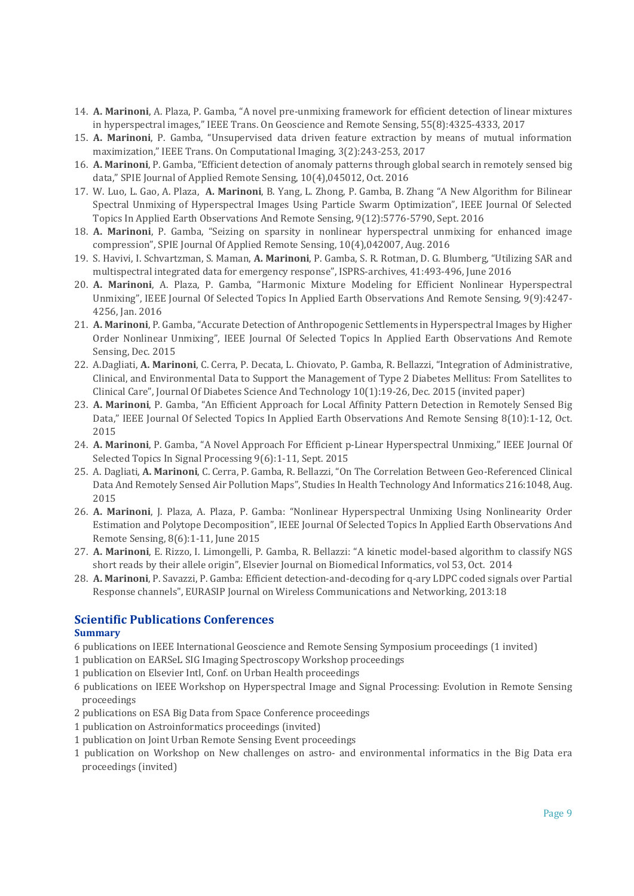- 14. **A. Marinoni**, A. Plaza, P. Gamba, "A novel pre-unmixing framework for efficient detection of linear mixtures in hyperspectral images," IEEE Trans. On Geoscience and Remote Sensing, 55(8):4325-4333, 2017
- 15. **A. Marinoni**, P. Gamba, "Unsupervised data driven feature extraction by means of mutual information maximization," IEEE Trans. On Computational Imaging, 3(2):243-253, 2017
- 16. **A. Marinoni**, P. Gamba, "Efficient detection of anomaly patterns through global search in remotely sensed big data," SPIE Journal of Applied Remote Sensing, 10(4),045012, Oct. 2016
- 17. W. Luo, L. Gao, A. Plaza, **A. Marinoni**, B. Yang, L. Zhong, P. Gamba, B. Zhang "A New Algorithm for Bilinear Spectral Unmixing of Hyperspectral Images Using Particle Swarm Optimization", IEEE Journal Of Selected Topics In Applied Earth Observations And Remote Sensing, 9(12):5776-5790, Sept. 2016
- 18. **A. Marinoni**, P. Gamba, "Seizing on sparsity in nonlinear hyperspectral unmixing for enhanced image compression", SPIE Journal Of Applied Remote Sensing, 10(4),042007, Aug. 2016
- 19. S. Havivi, I. Schvartzman, S. Maman, **A. Marinoni**, P. Gamba, S. R. Rotman, D. G. Blumberg, "Utilizing SAR and multispectral integrated data for emergency response", ISPRS-archives, 41:493-496, June 2016
- 20. **A. Marinoni**, A. Plaza, P. Gamba, "Harmonic Mixture Modeling for Efficient Nonlinear Hyperspectral Unmixing", IEEE Journal Of Selected Topics In Applied Earth Observations And Remote Sensing, 9(9):4247- 4256, Jan. 2016
- 21. **A. Marinoni**, P. Gamba, "Accurate Detection of Anthropogenic Settlements in Hyperspectral Images by Higher Order Nonlinear Unmixing", IEEE Journal Of Selected Topics In Applied Earth Observations And Remote Sensing, Dec. 2015
- 22. A.Dagliati, **A. Marinoni**, C. Cerra, P. Decata, L. Chiovato, P. Gamba, R. Bellazzi, "Integration of Administrative, Clinical, and Environmental Data to Support the Management of Type 2 Diabetes Mellitus: From Satellites to Clinical Care", Journal Of Diabetes Science And Technology 10(1):19-26, Dec. 2015 (invited paper)
- 23. **A. Marinoni**, P. Gamba, "An Efficient Approach for Local Affinity Pattern Detection in Remotely Sensed Big Data," IEEE Journal Of Selected Topics In Applied Earth Observations And Remote Sensing 8(10):1-12, Oct. 2015
- 24. **A. Marinoni**, P. Gamba, "A Novel Approach For Efficient p-Linear Hyperspectral Unmixing," IEEE Journal Of Selected Topics In Signal Processing 9(6):1-11, Sept. 2015
- 25. A. Dagliati, **A. Marinoni**, C. Cerra, P. Gamba, R. Bellazzi, "On The Correlation Between Geo-Referenced Clinical Data And Remotely Sensed Air Pollution Maps", Studies In Health Technology And Informatics 216:1048, Aug. 2015
- 26. **A. Marinoni**, J. Plaza, A. Plaza, P. Gamba: "Nonlinear Hyperspectral Unmixing Using Nonlinearity Order Estimation and Polytope Decomposition", IEEE Journal Of Selected Topics In Applied Earth Observations And Remote Sensing, 8(6):1-11, June 2015
- 27. **A. Marinoni**, E. Rizzo, I. Limongelli, P. Gamba, R. Bellazzi: "A kinetic model-based algorithm to classify NGS short reads by their allele origin", Elsevier Journal on Biomedical Informatics, vol 53, Oct. 2014
- 28. **A. Marinoni**, P. Savazzi, P. Gamba: Efficient detection-and-decoding for q-ary LDPC coded signals over Partial Response channels", EURASIP Journal on Wireless Communications and Networking, 2013:18

# **Scientific Publications Conferences**

## **Summary**

- 6 publications on IEEE International Geoscience and Remote Sensing Symposium proceedings (1 invited)
- 1 publication on EARSeL SIG Imaging Spectroscopy Workshop proceedings
- 1 publication on Elsevier Intl, Conf. on Urban Health proceedings
- 6 publications on IEEE Workshop on Hyperspectral Image and Signal Processing: Evolution in Remote Sensing proceedings
- 2 publications on ESA Big Data from Space Conference proceedings
- 1 publication on Astroinformatics proceedings (invited)
- 1 publication on Joint Urban Remote Sensing Event proceedings
- 1 publication on Workshop on New challenges on astro- and environmental informatics in the Big Data era proceedings (invited)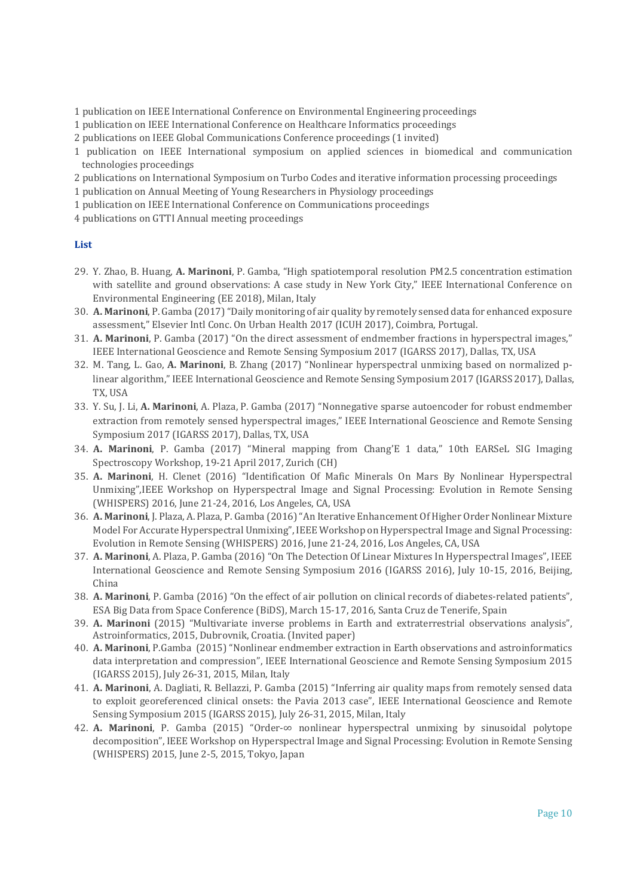- 1 publication on IEEE International Conference on Environmental Engineering proceedings
- 1 publication on IEEE International Conference on Healthcare Informatics proceedings
- 2 publications on IEEE Global Communications Conference proceedings (1 invited)
- 1 publication on IEEE International symposium on applied sciences in biomedical and communication technologies proceedings
- 2 publications on International Symposium on Turbo Codes and iterative information processing proceedings
- 1 publication on Annual Meeting of Young Researchers in Physiology proceedings
- 1 publication on IEEE International Conference on Communications proceedings
- 4 publications on GTTI Annual meeting proceedings

## **List**

- 29. Y. Zhao, B. Huang, **A. Marinoni**, P. Gamba, "High spatiotemporal resolution PM2.5 concentration estimation with satellite and ground observations: A case study in New York City," IEEE International Conference on Environmental Engineering (EE 2018), Milan, Italy
- 30. **A. Marinoni**, P. Gamba (2017) "Daily monitoring of air quality by remotely sensed data for enhanced exposure assessment," Elsevier Intl Conc. On Urban Health 2017 (ICUH 2017), Coimbra, Portugal.
- 31. **A. Marinoni**, P. Gamba (2017) "On the direct assessment of endmember fractions in hyperspectral images," IEEE International Geoscience and Remote Sensing Symposium 2017 (IGARSS 2017), Dallas, TX, USA
- 32. M. Tang, L. Gao, **A. Marinoni**, B. Zhang (2017) "Nonlinear hyperspectral unmixing based on normalized plinear algorithm," IEEE International Geoscience and Remote Sensing Symposium 2017 (IGARSS 2017), Dallas, TX, USA
- 33. Y. Su, J. Li, **A. Marinoni**, A. Plaza, P. Gamba (2017) "Nonnegative sparse autoencoder for robust endmember extraction from remotely sensed hyperspectral images," IEEE International Geoscience and Remote Sensing Symposium 2017 (IGARSS 2017), Dallas, TX, USA
- 34. **A. Marinoni**, P. Gamba (2017) "Mineral mapping from Chang'E 1 data," 10th EARSeL SIG Imaging Spectroscopy Workshop, 19-21 April 2017, Zurich (CH)
- 35. **A. Marinoni**, H. Clenet (2016) "Identification Of Mafic Minerals On Mars By Nonlinear Hyperspectral Unmixing",IEEE Workshop on Hyperspectral Image and Signal Processing: Evolution in Remote Sensing (WHISPERS) 2016, June 21-24, 2016, Los Angeles, CA, USA
- 36. **A. Marinoni**, J. Plaza, A. Plaza, P. Gamba (2016) "An Iterative Enhancement Of Higher Order Nonlinear Mixture Model For Accurate Hyperspectral Unmixing", IEEE Workshop on Hyperspectral Image and Signal Processing: Evolution in Remote Sensing (WHISPERS) 2016, June 21-24, 2016, Los Angeles, CA, USA
- 37. **A. Marinoni**, A. Plaza, P. Gamba (2016) "On The Detection Of Linear Mixtures In Hyperspectral Images", IEEE International Geoscience and Remote Sensing Symposium 2016 (IGARSS 2016), July 10-15, 2016, Beijing, China
- 38. **A. Marinoni**, P. Gamba (2016) "On the effect of air pollution on clinical records of diabetes-related patients", ESA Big Data from Space Conference (BiDS), March 15-17, 2016, Santa Cruz de Tenerife, Spain
- 39. **A. Marinoni** (2015) "Multivariate inverse problems in Earth and extraterrestrial observations analysis", Astroinformatics, 2015, Dubrovnik, Croatia. (Invited paper)
- 40. **A. Marinoni**, P.Gamba (2015) "Nonlinear endmember extraction in Earth observations and astroinformatics data interpretation and compression", IEEE International Geoscience and Remote Sensing Symposium 2015 (IGARSS 2015), July 26-31, 2015, Milan, Italy
- 41. **A. Marinoni**, A. Dagliati, R. Bellazzi, P. Gamba (2015) "Inferring air quality maps from remotely sensed data to exploit georeferenced clinical onsets: the Pavia 2013 case", IEEE International Geoscience and Remote Sensing Symposium 2015 (IGARSS 2015), July 26-31, 2015, Milan, Italy
- 42. **A. Marinoni**, P. Gamba (2015) "Order-∞ nonlinear hyperspectral unmixing by sinusoidal polytope decomposition", IEEE Workshop on Hyperspectral Image and Signal Processing: Evolution in Remote Sensing (WHISPERS) 2015, June 2-5, 2015, Tokyo, Japan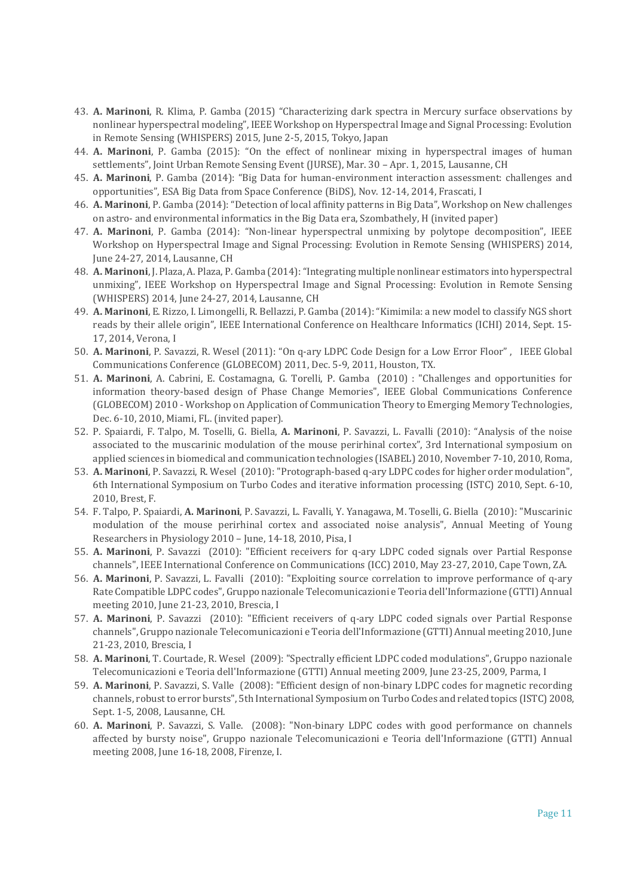- 43. **A. Marinoni**, R. Klima, P. Gamba (2015) "Characterizing dark spectra in Mercury surface observations by nonlinear hyperspectral modeling", IEEE Workshop on Hyperspectral Image and Signal Processing: Evolution in Remote Sensing (WHISPERS) 2015, June 2-5, 2015, Tokyo, Japan
- 44. **A. Marinoni**, P. Gamba (2015): "On the effect of nonlinear mixing in hyperspectral images of human settlements", Joint Urban Remote Sensing Event (JURSE), Mar. 30 – Apr. 1, 2015, Lausanne, CH
- 45. **A. Marinoni**, P. Gamba (2014): "Big Data for human-environment interaction assessment: challenges and opportunities", ESA Big Data from Space Conference (BiDS), Nov. 12-14, 2014, Frascati, I
- 46. **A. Marinoni**, P. Gamba (2014): "Detection of local affinity patterns in Big Data", Workshop on New challenges on astro- and environmental informatics in the Big Data era, Szombathely, H (invited paper)
- 47. **A. Marinoni**, P. Gamba (2014): "Non-linear hyperspectral unmixing by polytope decomposition", IEEE Workshop on Hyperspectral Image and Signal Processing: Evolution in Remote Sensing (WHISPERS) 2014, June 24-27, 2014, Lausanne, CH
- 48. **A. Marinoni**, J. Plaza, A. Plaza, P. Gamba (2014): "Integrating multiple nonlinear estimators into hyperspectral unmixing", IEEE Workshop on Hyperspectral Image and Signal Processing: Evolution in Remote Sensing (WHISPERS) 2014, June 24-27, 2014, Lausanne, CH
- 49. **A. Marinoni**, E. Rizzo, I. Limongelli, R. Bellazzi, P. Gamba (2014): "Kimimila: a new model to classify NGS short reads by their allele origin", IEEE International Conference on Healthcare Informatics (ICHI) 2014, Sept. 15- 17, 2014, Verona, I
- 50. **A. Marinoni**, P. Savazzi, R. Wesel (2011): "On q-ary LDPC Code Design for a Low Error Floor" , IEEE Global Communications Conference (GLOBECOM) 2011, Dec. 5-9, 2011, Houston, TX.
- 51. **A. Marinoni**, A. Cabrini, E. Costamagna, G. Torelli, P. Gamba (2010) : "Challenges and opportunities for information theory-based design of Phase Change Memories", IEEE Global Communications Conference (GLOBECOM) 2010 - Workshop on Application of Communication Theory to Emerging Memory Technologies, Dec. 6-10, 2010, Miami, FL. (invited paper).
- 52. P. Spaiardi, F. Talpo, M. Toselli, G. Biella, **A. Marinoni**, P. Savazzi, L. Favalli (2010): "Analysis of the noise associated to the muscarinic modulation of the mouse perirhinal cortex", 3rd International symposium on applied sciences in biomedical and communication technologies (ISABEL) 2010, November 7-10, 2010, Roma,
- 53. **A. Marinoni**, P. Savazzi, R. Wesel (2010): "Protograph-based q-ary LDPC codes for higher order modulation", 6th International Symposium on Turbo Codes and iterative information processing (ISTC) 2010, Sept. 6-10, 2010, Brest, F.
- 54. F. Talpo, P. Spaiardi, **A. Marinoni**, P. Savazzi, L. Favalli, Y. Yanagawa, M. Toselli, G. Biella (2010): "Muscarinic modulation of the mouse perirhinal cortex and associated noise analysis", Annual Meeting of Young Researchers in Physiology 2010 – June, 14-18, 2010, Pisa, I
- 55. **A. Marinoni**, P. Savazzi (2010): "Efficient receivers for q-ary LDPC coded signals over Partial Response channels", IEEE International Conference on Communications (ICC) 2010, May 23-27, 2010, Cape Town, ZA.
- 56. **A. Marinoni**, P. Savazzi, L. Favalli (2010): "Exploiting source correlation to improve performance of q-ary Rate Compatible LDPC codes", Gruppo nazionale Telecomunicazioni e Teoria dell'Informazione (GTTI) Annual meeting 2010, June 21-23, 2010, Brescia, I
- 57. **A. Marinoni**, P. Savazzi (2010): "Efficient receivers of q-ary LDPC coded signals over Partial Response channels", Gruppo nazionale Telecomunicazioni e Teoria dell'Informazione (GTTI) Annual meeting 2010, June 21-23, 2010, Brescia, I
- 58. **A. Marinoni**, T. Courtade, R. Wesel (2009): "Spectrally efficient LDPC coded modulations", Gruppo nazionale Telecomunicazioni e Teoria dell'Informazione (GTTI) Annual meeting 2009, June 23-25, 2009, Parma, I
- 59. **A. Marinoni**, P. Savazzi, S. Valle (2008): "Efficient design of non-binary LDPC codes for magnetic recording channels, robust to error bursts", 5th International Symposium on Turbo Codes and related topics (ISTC) 2008, Sept. 1-5, 2008, Lausanne, CH.
- 60. **A. Marinoni**, P. Savazzi, S. Valle. (2008): "Non-binary LDPC codes with good performance on channels affected by bursty noise", Gruppo nazionale Telecomunicazioni e Teoria dell'Informazione (GTTI) Annual meeting 2008, June 16-18, 2008, Firenze, I.